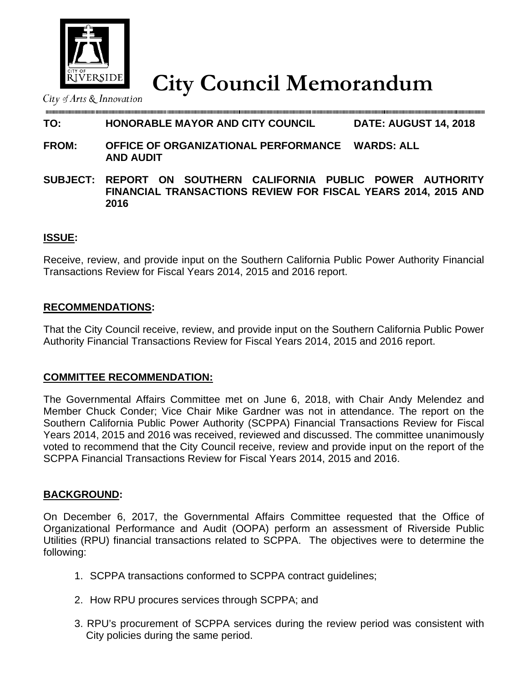

**City Council Memorandum** City Council Memorandum

#### **TO: HONORABLE MAYOR AND CITY COUNCIL DATE: AUGUST 14, 2018**

- **FROM: OFFICE OF ORGANIZATIONAL PERFORMANCE WARDS: ALL AND AUDIT**
- **SUBJECT: REPORT ON SOUTHERN CALIFORNIA PUBLIC POWER AUTHORITY FINANCIAL TRANSACTIONS REVIEW FOR FISCAL YEARS 2014, 2015 AND 2016**

# **ISSUE:**

Receive, review, and provide input on the Southern California Public Power Authority Financial Transactions Review for Fiscal Years 2014, 2015 and 2016 report.

### **RECOMMENDATIONS:**

That the City Council receive, review, and provide input on the Southern California Public Power Authority Financial Transactions Review for Fiscal Years 2014, 2015 and 2016 report.

#### **COMMITTEE RECOMMENDATION:**

The Governmental Affairs Committee met on June 6, 2018, with Chair Andy Melendez and Member Chuck Conder; Vice Chair Mike Gardner was not in attendance. The report on the Southern California Public Power Authority (SCPPA) Financial Transactions Review for Fiscal Years 2014, 2015 and 2016 was received, reviewed and discussed. The committee unanimously voted to recommend that the City Council receive, review and provide input on the report of the SCPPA Financial Transactions Review for Fiscal Years 2014, 2015 and 2016.

# **BACKGROUND:**

On December 6, 2017, the Governmental Affairs Committee requested that the Office of Organizational Performance and Audit (OOPA) perform an assessment of Riverside Public Utilities (RPU) financial transactions related to SCPPA. The objectives were to determine the following:

- 1. SCPPA transactions conformed to SCPPA contract guidelines;
- 2. How RPU procures services through SCPPA; and
- 3. RPU's procurement of SCPPA services during the review period was consistent with City policies during the same period.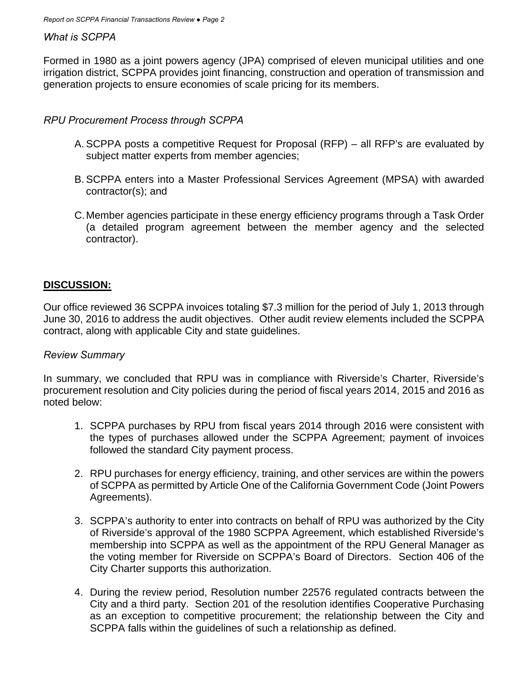### *What is SCPPA*

Formed in 1980 as a joint powers agency (JPA) comprised of eleven municipal utilities and one irrigation district, SCPPA provides joint financing, construction and operation of transmission and generation projects to ensure economies of scale pricing for its members.

# *RPU Procurement Process through SCPPA*

- A. SCPPA posts a competitive Request for Proposal (RFP) all RFP's are evaluated by subject matter experts from member agencies;
- B. SCPPA enters into a Master Professional Services Agreement (MPSA) with awarded contractor(s); and
- C. Member agencies participate in these energy efficiency programs through a Task Order (a detailed program agreement between the member agency and the selected contractor).

# **DISCUSSION:**

Our office reviewed 36 SCPPA invoices totaling \$7.3 million for the period of July 1, 2013 through June 30, 2016 to address the audit objectives. Other audit review elements included the SCPPA contract, along with applicable City and state guidelines.

#### *Review Summary*

In summary, we concluded that RPU was in compliance with Riverside's Charter, Riverside's procurement resolution and City policies during the period of fiscal years 2014, 2015 and 2016 as noted below:

- 1. SCPPA purchases by RPU from fiscal years 2014 through 2016 were consistent with the types of purchases allowed under the SCPPA Agreement; payment of invoices followed the standard City payment process.
- 2. RPU purchases for energy efficiency, training, and other services are within the powers of SCPPA as permitted by Article One of the California Government Code (Joint Powers Agreements).
- 3. SCPPA's authority to enter into contracts on behalf of RPU was authorized by the City of Riverside's approval of the 1980 SCPPA Agreement, which established Riverside's membership into SCPPA as well as the appointment of the RPU General Manager as the voting member for Riverside on SCPPA's Board of Directors. Section 406 of the City Charter supports this authorization.
- 4. During the review period, Resolution number 22576 regulated contracts between the City and a third party. Section 201 of the resolution identifies Cooperative Purchasing as an exception to competitive procurement; the relationship between the City and SCPPA falls within the guidelines of such a relationship as defined.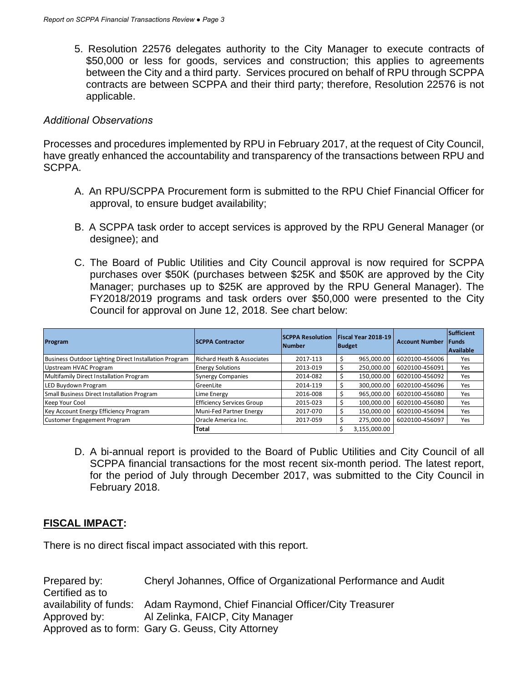5. Resolution 22576 delegates authority to the City Manager to execute contracts of \$50,000 or less for goods, services and construction; this applies to agreements between the City and a third party. Services procured on behalf of RPU through SCPPA contracts are between SCPPA and their third party; therefore, Resolution 22576 is not applicable.

### *Additional Observations*

Processes and procedures implemented by RPU in February 2017, at the request of City Council, have greatly enhanced the accountability and transparency of the transactions between RPU and SCPPA.

- A. An RPU/SCPPA Procurement form is submitted to the RPU Chief Financial Officer for approval, to ensure budget availability;
- B. A SCPPA task order to accept services is approved by the RPU General Manager (or designee); and
- C. The Board of Public Utilities and City Council approval is now required for SCPPA purchases over \$50K (purchases between \$25K and \$50K are approved by the City Manager; purchases up to \$25K are approved by the RPU General Manager). The FY2018/2019 programs and task orders over \$50,000 were presented to the City Council for approval on June 12, 2018. See chart below:

| Program                                               | <b>SCPPA Contractor</b>               | <b>SCPPA Resolution</b><br><b>Number</b> | Fiscal Year 2018-19<br>Budget |              | <b>Account Number</b> | Sufficient<br><b>IFunds</b><br><b>Available</b> |
|-------------------------------------------------------|---------------------------------------|------------------------------------------|-------------------------------|--------------|-----------------------|-------------------------------------------------|
| Business Outdoor Lighting Direct Installation Program | <b>Richard Heath &amp; Associates</b> | 2017-113                                 | Ŝ                             | 965.000.00   | 6020100-456006        | Yes                                             |
| Upstream HVAC Program                                 | <b>Energy Solutions</b>               | 2013-019                                 | Ŝ.                            | 250,000.00   | 6020100-456091        | Yes                                             |
| Multifamily Direct Installation Program               | <b>Synergy Companies</b>              | 2014-082                                 | -S                            | 150,000.00   | 6020100-456092        | Yes                                             |
| LED Buydown Program                                   | GreenLite                             | 2014-119                                 | S                             | 300.000.00   | 6020100-456096        | Yes                                             |
| Small Business Direct Installation Program            | Lime Energy                           | 2016-008                                 |                               | 965.000.00   | 6020100-456080        | Yes                                             |
| Keep Your Cool                                        | <b>Efficiency Services Group</b>      | 2015-023                                 |                               | 100.000.00   | 6020100-456080        | Yes                                             |
| Key Account Energy Efficiency Program                 | Muni-Fed Partner Energy               | 2017-070                                 | Ŝ                             | 150.000.00   | 6020100-456094        | Yes                                             |
| Customer Engagement Program                           | Oracle America Inc.                   | 2017-059                                 |                               | 275,000.00   | 6020100-456097        | Yes                                             |
|                                                       | Total                                 |                                          |                               | 3,155,000.00 |                       |                                                 |

D. A bi-annual report is provided to the Board of Public Utilities and City Council of all SCPPA financial transactions for the most recent six-month period. The latest report, for the period of July through December 2017, was submitted to the City Council in February 2018.

# **FISCAL IMPACT:**

There is no direct fiscal impact associated with this report.

Prepared by: Cheryl Johannes, Office of Organizational Performance and Audit Certified as to availability of funds: Adam Raymond, Chief Financial Officer/City Treasurer Approved by: Al Zelinka, FAICP, City Manager Approved as to form: Gary G. Geuss, City Attorney